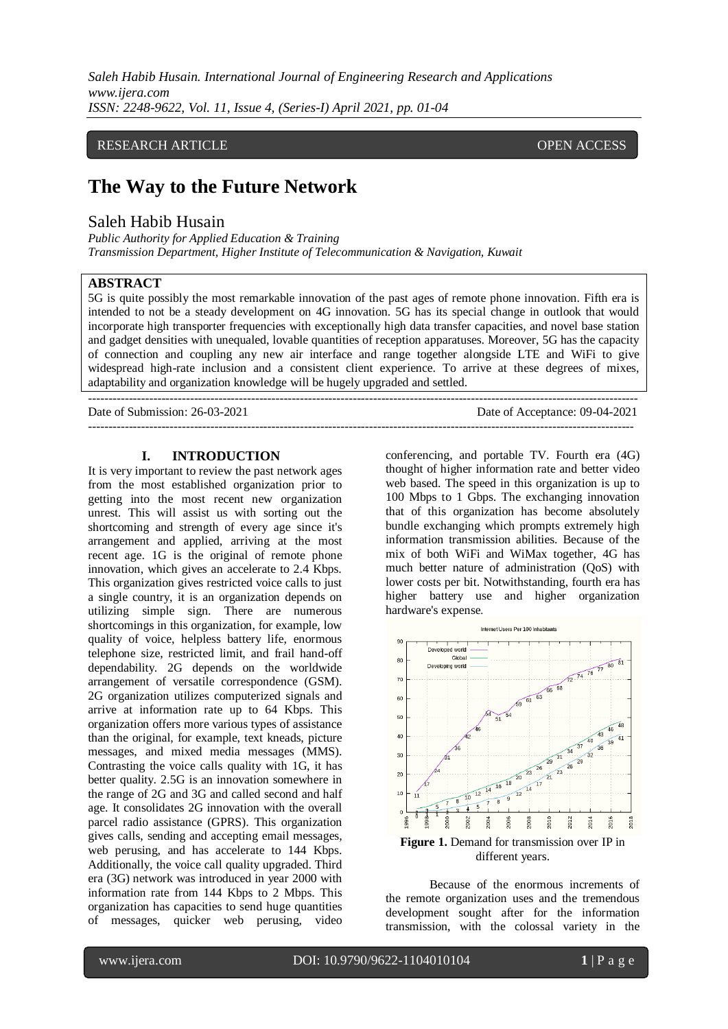*Saleh Habib Husain. International Journal of Engineering Research and Applications www.ijera.com ISSN: 2248-9622, Vol. 11, Issue 4, (Series-I) April 2021, pp. 01-04*

### RESEARCH ARTICLE **CONTRACT ARTICLE** AND A SERVICE OPEN ACCESS

# **The Way to the Future Network**

# Saleh Habib Husain

*Public Authority for Applied Education & Training Transmission Department, Higher Institute of Telecommunication & Navigation, Kuwait* 

# **ABSTRACT**

5G is quite possibly the most remarkable innovation of the past ages of remote phone innovation. Fifth era is intended to not be a steady development on 4G innovation. 5G has its special change in outlook that would incorporate high transporter frequencies with exceptionally high data transfer capacities, and novel base station and gadget densities with unequaled, lovable quantities of reception apparatuses. Moreover, 5G has the capacity of connection and coupling any new air interface and range together alongside LTE and WiFi to give widespread high-rate inclusion and a consistent client experience. To arrive at these degrees of mixes, adaptability and organization knowledge will be hugely upgraded and settled.

--------------------------------------------------------------------------------------------------------------------------------------

---------------------------------------------------------------------------------------------------------------------------------------

Date of Submission: 26-03-2021 Date of Acceptance: 09-04-2021

#### **I. INTRODUCTION**

It is very important to review the past network ages from the most established organization prior to getting into the most recent new organization unrest. This will assist us with sorting out the shortcoming and strength of every age since it's arrangement and applied, arriving at the most recent age. 1G is the original of remote phone innovation, which gives an accelerate to 2.4 Kbps. This organization gives restricted voice calls to just a single country, it is an organization depends on utilizing simple sign. There are numerous shortcomings in this organization, for example, low quality of voice, helpless battery life, enormous telephone size, restricted limit, and frail hand-off dependability. 2G depends on the worldwide arrangement of versatile correspondence (GSM). 2G organization utilizes computerized signals and arrive at information rate up to 64 Kbps. This organization offers more various types of assistance than the original, for example, text kneads, picture messages, and mixed media messages (MMS). Contrasting the voice calls quality with 1G, it has better quality. 2.5G is an innovation somewhere in the range of 2G and 3G and called second and half age. It consolidates 2G innovation with the overall parcel radio assistance (GPRS). This organization gives calls, sending and accepting email messages, web perusing, and has accelerate to 144 Kbps. Additionally, the voice call quality upgraded. Third era (3G) network was introduced in year 2000 with information rate from 144 Kbps to 2 Mbps. This organization has capacities to send huge quantities of messages, quicker web perusing, video

conferencing, and portable TV. Fourth era (4G) thought of higher information rate and better video web based. The speed in this organization is up to 100 Mbps to 1 Gbps. The exchanging innovation that of this organization has become absolutely bundle exchanging which prompts extremely high information transmission abilities. Because of the mix of both WiFi and WiMax together, 4G has much better nature of administration (QoS) with lower costs per bit. Notwithstanding, fourth era has higher battery use and higher organization hardware's expense.



Because of the enormous increments of the remote organization uses and the tremendous development sought after for the information transmission, with the colossal variety in the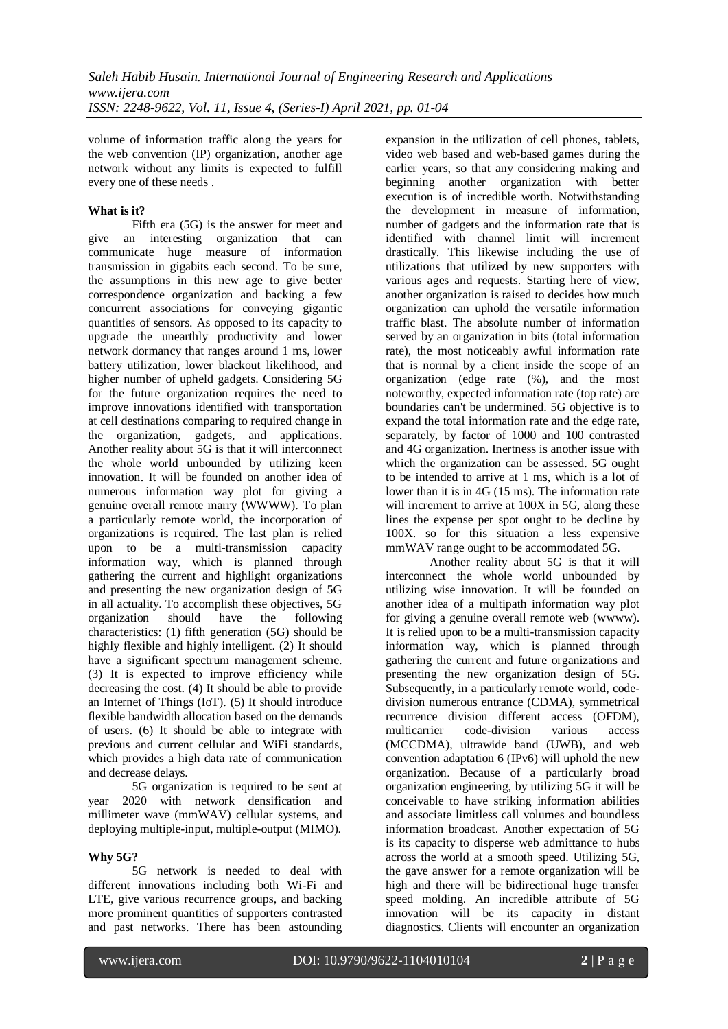volume of information traffic along the years for the web convention (IP) organization, another age network without any limits is expected to fulfill every one of these needs .

### **What is it?**

Fifth era (5G) is the answer for meet and give an interesting organization that can communicate huge measure of information transmission in gigabits each second. To be sure, the assumptions in this new age to give better correspondence organization and backing a few concurrent associations for conveying gigantic quantities of sensors. As opposed to its capacity to upgrade the unearthly productivity and lower network dormancy that ranges around 1 ms, lower battery utilization, lower blackout likelihood, and higher number of upheld gadgets. Considering 5G for the future organization requires the need to improve innovations identified with transportation at cell destinations comparing to required change in the organization, gadgets, and applications. Another reality about 5G is that it will interconnect the whole world unbounded by utilizing keen innovation. It will be founded on another idea of numerous information way plot for giving a genuine overall remote marry (WWWW). To plan a particularly remote world, the incorporation of organizations is required. The last plan is relied upon to be a multi-transmission capacity information way, which is planned through gathering the current and highlight organizations and presenting the new organization design of 5G in all actuality. To accomplish these objectives, 5G organization should have the following organization should have the following characteristics: (1) fifth generation (5G) should be highly flexible and highly intelligent. (2) It should have a significant spectrum management scheme. (3) It is expected to improve efficiency while decreasing the cost. (4) It should be able to provide an Internet of Things (IoT). (5) It should introduce flexible bandwidth allocation based on the demands of users. (6) It should be able to integrate with previous and current cellular and WiFi standards, which provides a high data rate of communication and decrease delays.

5G organization is required to be sent at year 2020 with network densification and millimeter wave (mmWAV) cellular systems, and deploying multiple-input, multiple-output (MIMO).

# **Why 5G?**

5G network is needed to deal with different innovations including both Wi-Fi and LTE, give various recurrence groups, and backing more prominent quantities of supporters contrasted and past networks. There has been astounding

expansion in the utilization of cell phones, tablets, video web based and web-based games during the earlier years, so that any considering making and beginning another organization with better execution is of incredible worth. Notwithstanding the development in measure of information, number of gadgets and the information rate that is identified with channel limit will increment drastically. This likewise including the use of utilizations that utilized by new supporters with various ages and requests. Starting here of view, another organization is raised to decides how much organization can uphold the versatile information traffic blast. The absolute number of information served by an organization in bits (total information rate), the most noticeably awful information rate that is normal by a client inside the scope of an organization (edge rate (%), and the most noteworthy, expected information rate (top rate) are boundaries can't be undermined. 5G objective is to expand the total information rate and the edge rate, separately, by factor of 1000 and 100 contrasted and 4G organization. Inertness is another issue with which the organization can be assessed. 5G ought to be intended to arrive at 1 ms, which is a lot of lower than it is in 4G (15 ms). The information rate will increment to arrive at 100X in 5G, along these lines the expense per spot ought to be decline by 100X. so for this situation a less expensive mmWAV range ought to be accommodated 5G.

Another reality about 5G is that it will interconnect the whole world unbounded by utilizing wise innovation. It will be founded on another idea of a multipath information way plot for giving a genuine overall remote web (wwww). It is relied upon to be a multi-transmission capacity information way, which is planned through gathering the current and future organizations and presenting the new organization design of 5G. Subsequently, in a particularly remote world, codedivision numerous entrance (CDMA), symmetrical recurrence division different access (OFDM), multicarrier code-division various access (MCCDMA), ultrawide band (UWB), and web convention adaptation 6 (IPv6) will uphold the new organization. Because of a particularly broad organization engineering, by utilizing 5G it will be conceivable to have striking information abilities and associate limitless call volumes and boundless information broadcast. Another expectation of 5G is its capacity to disperse web admittance to hubs across the world at a smooth speed. Utilizing 5G, the gave answer for a remote organization will be high and there will be bidirectional huge transfer speed molding. An incredible attribute of 5G innovation will be its capacity in distant diagnostics. Clients will encounter an organization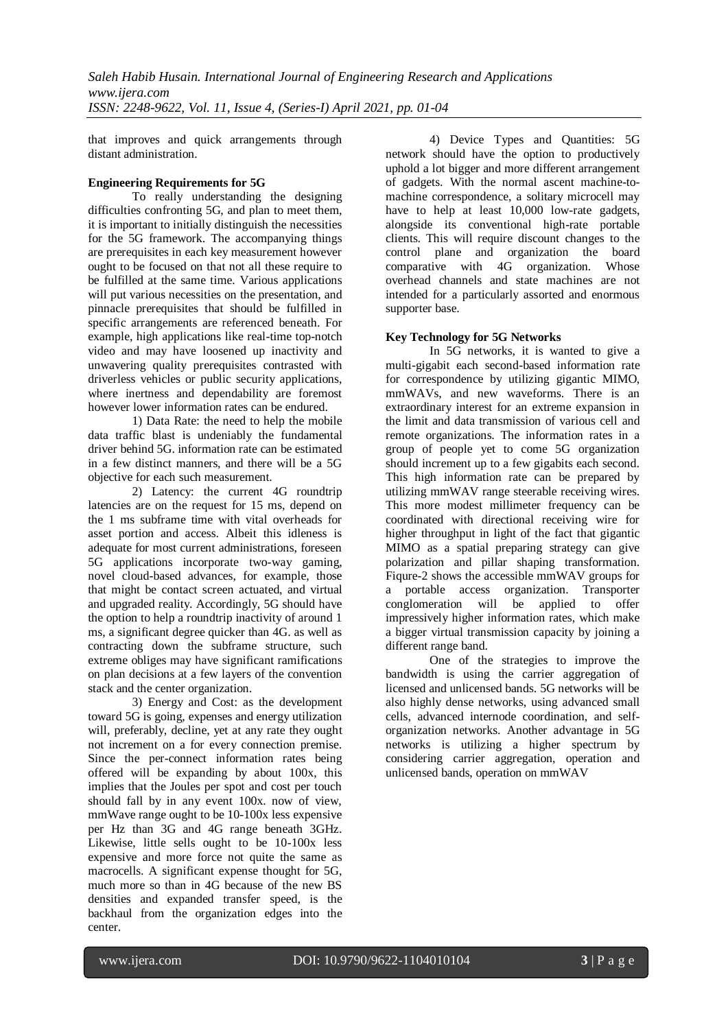that improves and quick arrangements through distant administration.

# **Engineering Requirements for 5G**

To really understanding the designing difficulties confronting 5G, and plan to meet them, it is important to initially distinguish the necessities for the 5G framework. The accompanying things are prerequisites in each key measurement however ought to be focused on that not all these require to be fulfilled at the same time. Various applications will put various necessities on the presentation, and pinnacle prerequisites that should be fulfilled in specific arrangements are referenced beneath. For example, high applications like real-time top-notch video and may have loosened up inactivity and unwavering quality prerequisites contrasted with driverless vehicles or public security applications, where inertness and dependability are foremost however lower information rates can be endured.

1) Data Rate: the need to help the mobile data traffic blast is undeniably the fundamental driver behind 5G. information rate can be estimated in a few distinct manners, and there will be a 5G objective for each such measurement.

2) Latency: the current 4G roundtrip latencies are on the request for 15 ms, depend on the 1 ms subframe time with vital overheads for asset portion and access. Albeit this idleness is adequate for most current administrations, foreseen 5G applications incorporate two-way gaming, novel cloud-based advances, for example, those that might be contact screen actuated, and virtual and upgraded reality. Accordingly, 5G should have the option to help a roundtrip inactivity of around 1 ms, a significant degree quicker than 4G. as well as contracting down the subframe structure, such extreme obliges may have significant ramifications on plan decisions at a few layers of the convention stack and the center organization.

3) Energy and Cost: as the development toward 5G is going, expenses and energy utilization will, preferably, decline, yet at any rate they ought not increment on a for every connection premise. Since the per-connect information rates being offered will be expanding by about 100x, this implies that the Joules per spot and cost per touch should fall by in any event 100x. now of view, mmWave range ought to be 10-100x less expensive per Hz than 3G and 4G range beneath 3GHz. Likewise, little sells ought to be 10-100x less expensive and more force not quite the same as macrocells. A significant expense thought for 5G, much more so than in 4G because of the new BS densities and expanded transfer speed, is the backhaul from the organization edges into the center.

4) Device Types and Quantities: 5G network should have the option to productively uphold a lot bigger and more different arrangement of gadgets. With the normal ascent machine-tomachine correspondence, a solitary microcell may have to help at least 10,000 low-rate gadgets, alongside its conventional high-rate portable clients. This will require discount changes to the control plane and organization the board comparative with 4G organization. Whose overhead channels and state machines are not intended for a particularly assorted and enormous supporter base.

# **Key Technology for 5G Networks**

In 5G networks, it is wanted to give a multi-gigabit each second-based information rate for correspondence by utilizing gigantic MIMO, mmWAVs, and new waveforms. There is an extraordinary interest for an extreme expansion in the limit and data transmission of various cell and remote organizations. The information rates in a group of people yet to come 5G organization should increment up to a few gigabits each second. This high information rate can be prepared by utilizing mmWAV range steerable receiving wires. This more modest millimeter frequency can be coordinated with directional receiving wire for higher throughput in light of the fact that gigantic MIMO as a spatial preparing strategy can give polarization and pillar shaping transformation. Fiqure-2 shows the accessible mmWAV groups for a portable access organization. Transporter conglomeration will be applied to offer impressively higher information rates, which make a bigger virtual transmission capacity by joining a different range band.

One of the strategies to improve the bandwidth is using the carrier aggregation of licensed and unlicensed bands. 5G networks will be also highly dense networks, using advanced small cells, advanced internode coordination, and selforganization networks. Another advantage in 5G networks is utilizing a higher spectrum by considering carrier aggregation, operation and unlicensed bands, operation on mmWAV